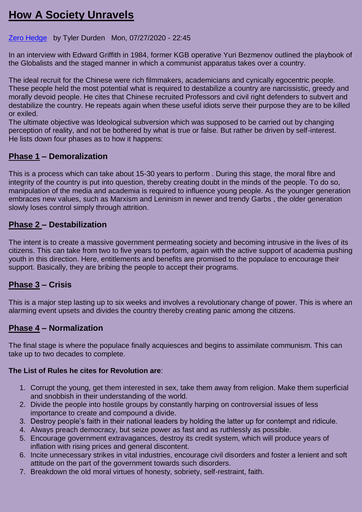# **How [A Society Unravels](http://feedproxy.google.com/~r/zerohedge/feed/~3/WN10q9t-q7M/how-society-unravels)**

#### [Zero Hedge](https://www.zerohedge.com/fullrss2.xml) by Tyler Durden Mon, 07/27/2020 - 22:45

In an interview with Edward Griffith in 1984, former KGB operative Yuri Bezmenov outlined the playbook of the Globalists and the staged manner in which a communist apparatus takes over a country.

The ideal recruit for the Chinese were rich filmmakers, academicians and cynically egocentric people. These people held the most potential what is required to destabilize a country are narcissistic, greedy and morally devoid people. He cites that Chinese recruited Professors and civil right defenders to subvert and destabilize the country. He repeats again when these useful idiots serve their purpose they are to be killed or exiled.

The ultimate objective was Ideological subversion which was supposed to be carried out by changing perception of reality, and not be bothered by what is true or false. But rather be driven by self-interest. He lists down four phases as to how it happens:

## **Phase 1 – Demoralization**

This is a process which can take about 15-30 years to perform . During this stage, the moral fibre and integrity of the country is put into question, thereby creating doubt in the minds of the people. To do so, manipulation of the media and academia is required to influence young people. As the younger generation embraces new values, such as Marxism and Leninism in newer and trendy Garbs , the older generation slowly loses control simply through attrition.

## **Phase 2 – Destabilization**

The intent is to create a massive government permeating society and becoming intrusive in the lives of its citizens. This can take from two to five years to perform, again with the active support of academia pushing youth in this direction. Here, entitlements and benefits are promised to the populace to encourage their support. Basically, they are bribing the people to accept their programs.

## **Phase 3 – Crisis**

This is a major step lasting up to six weeks and involves a revolutionary change of power. This is where an alarming event upsets and divides the country thereby creating panic among the citizens.

## **Phase 4 – Normalization**

The final stage is where the populace finally acquiesces and begins to assimilate communism. This can take up to two decades to complete.

#### **The List of Rules he cites for Revolution are**:

- 1. Corrupt the young, get them interested in sex, take them away from religion. Make them superficial and snobbish in their understanding of the world.
- 2. Divide the people into hostile groups by constantly harping on controversial issues of less importance to create and compound a divide.
- 3. Destroy people's faith in their national leaders by holding the latter up for contempt and ridicule.
- 4. Always preach democracy, but seize power as fast and as ruthlessly as possible.
- 5. Encourage government extravagances, destroy its credit system, which will produce years of inflation with rising prices and general discontent.
- 6. Incite unnecessary strikes in vital industries, encourage civil disorders and foster a lenient and soft attitude on the part of the government towards such disorders.
- 7. Breakdown the old moral virtues of honesty, sobriety, self-restraint, faith.